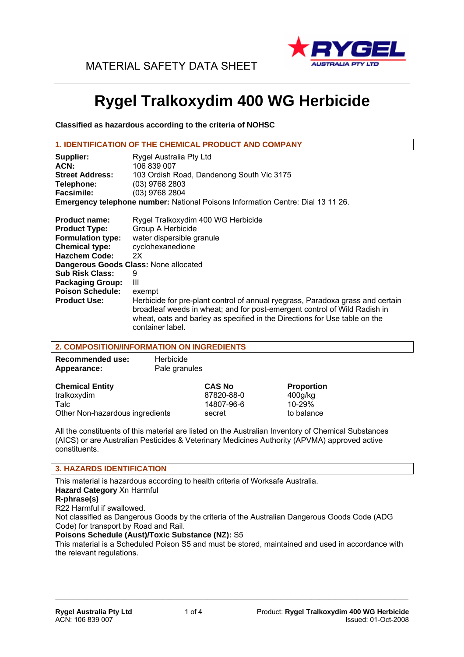

# **Rygel Tralkoxydim 400 WG Herbicide**

**Classified as hazardous according to the criteria of NOHSC** 

| <b>1. IDENTIFICATION OF THE CHEMICAL PRODUCT AND COMPANY</b>                    |                                           |  |  |  |
|---------------------------------------------------------------------------------|-------------------------------------------|--|--|--|
| Supplier:                                                                       | Rygel Australia Pty Ltd                   |  |  |  |
| ACN:                                                                            | 106 839 007                               |  |  |  |
| <b>Street Address:</b>                                                          | 103 Ordish Road, Dandenong South Vic 3175 |  |  |  |
| Telephone:                                                                      | $(03)$ 9768 2803                          |  |  |  |
| <b>Facsimile:</b>                                                               | (03) 9768 2804                            |  |  |  |
| Emergency telephone number: National Poisons Information Centre: Dial 13 11 26. |                                           |  |  |  |
|                                                                                 |                                           |  |  |  |

| <b>Product name:</b>                  | Rygel Tralkoxydim 400 WG Herbicide                                                                                                                                                                                                                            |
|---------------------------------------|---------------------------------------------------------------------------------------------------------------------------------------------------------------------------------------------------------------------------------------------------------------|
| <b>Product Type:</b>                  | Group A Herbicide                                                                                                                                                                                                                                             |
| <b>Formulation type:</b>              | water dispersible granule                                                                                                                                                                                                                                     |
| <b>Chemical type:</b>                 | cyclohexanedione                                                                                                                                                                                                                                              |
| <b>Hazchem Code:</b>                  | 2X                                                                                                                                                                                                                                                            |
| Dangerous Goods Class: None allocated |                                                                                                                                                                                                                                                               |
| <b>Sub Risk Class:</b>                | 9                                                                                                                                                                                                                                                             |
| <b>Packaging Group:</b>               | Ш                                                                                                                                                                                                                                                             |
| <b>Poison Schedule:</b>               | exempt                                                                                                                                                                                                                                                        |
| <b>Product Use:</b>                   | Herbicide for pre-plant control of annual ryegrass, Paradoxa grass and certain<br>broadleaf weeds in wheat; and for post-emergent control of Wild Radish in<br>wheat, oats and barley as specified in the Directions for Use table on the<br>container label. |

# **2. COMPOSITION/INFORMATION ON INGREDIENTS**

| <b>Recommended use:</b><br>Appearance: | Herbicide<br>Pale granules |                   |
|----------------------------------------|----------------------------|-------------------|
| <b>Chemical Entity</b>                 | <b>CAS No</b>              | <b>Proportion</b> |
| tralkoxydim                            | 87820-88-0                 | 400q/kg           |
| Talc                                   | 14807-96-6                 | 10-29%            |
| Other Non-hazardous ingredients        | secret                     | to balance        |

All the constituents of this material are listed on the Australian Inventory of Chemical Substances (AICS) or are Australian Pesticides & Veterinary Medicines Authority (APVMA) approved active constituents.

### **3. HAZARDS IDENTIFICATION**

This material is hazardous according to health criteria of Worksafe Australia. **Hazard Category** Xn Harmful **R-phrase(s)**  R22 Harmful if swallowed. Not classified as Dangerous Goods by the criteria of the Australian Dangerous Goods Code (ADG

Code) for transport by Road and Rail. **Poisons Schedule (Aust)/Toxic Substance (NZ):** S5

This material is a Scheduled Poison S5 and must be stored, maintained and used in accordance with the relevant regulations.

 $\mathcal{L}_\mathcal{L} = \{ \mathcal{L}_\mathcal{L} = \{ \mathcal{L}_\mathcal{L} = \{ \mathcal{L}_\mathcal{L} = \{ \mathcal{L}_\mathcal{L} = \{ \mathcal{L}_\mathcal{L} = \{ \mathcal{L}_\mathcal{L} = \{ \mathcal{L}_\mathcal{L} = \{ \mathcal{L}_\mathcal{L} = \{ \mathcal{L}_\mathcal{L} = \{ \mathcal{L}_\mathcal{L} = \{ \mathcal{L}_\mathcal{L} = \{ \mathcal{L}_\mathcal{L} = \{ \mathcal{L}_\mathcal{L} = \{ \mathcal{L}_\mathcal{$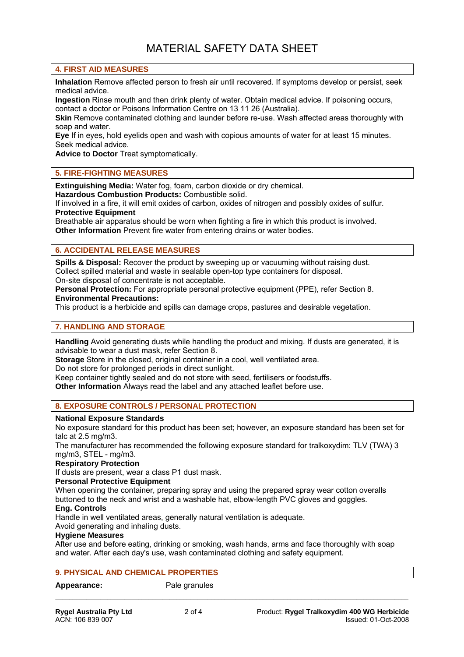### **4. FIRST AID MEASURES**

**Inhalation** Remove affected person to fresh air until recovered. If symptoms develop or persist, seek medical advice.

**Ingestion** Rinse mouth and then drink plenty of water. Obtain medical advice. If poisoning occurs, contact a doctor or Poisons Information Centre on 13 11 26 (Australia).

**Skin** Remove contaminated clothing and launder before re-use. Wash affected areas thoroughly with soap and water.

**Eye** If in eyes, hold eyelids open and wash with copious amounts of water for at least 15 minutes. Seek medical advice.

**Advice to Doctor** Treat symptomatically.

### **5. FIRE-FIGHTING MEASURES**

**Extinguishing Media:** Water fog, foam, carbon dioxide or dry chemical.

**Hazardous Combustion Products:** Combustible solid.

If involved in a fire, it will emit oxides of carbon, oxides of nitrogen and possibly oxides of sulfur. **Protective Equipment** 

Breathable air apparatus should be worn when fighting a fire in which this product is involved. **Other Information** Prevent fire water from entering drains or water bodies.

### **6. ACCIDENTAL RELEASE MEASURES**

**Spills & Disposal:** Recover the product by sweeping up or vacuuming without raising dust. Collect spilled material and waste in sealable open-top type containers for disposal. On-site disposal of concentrate is not acceptable.

**Personal Protection:** For appropriate personal protective equipment (PPE), refer Section 8. **Environmental Precautions:** 

This product is a herbicide and spills can damage crops, pastures and desirable vegetation.

### **7. HANDLING AND STORAGE**

**Handling** Avoid generating dusts while handling the product and mixing. If dusts are generated, it is advisable to wear a dust mask, refer Section 8.

**Storage** Store in the closed, original container in a cool, well ventilated area.

Do not store for prolonged periods in direct sunlight.

Keep container tightly sealed and do not store with seed, fertilisers or foodstuffs.

**Other Information** Always read the label and any attached leaflet before use.

### **8. EXPOSURE CONTROLS / PERSONAL PROTECTION**

### **National Exposure Standards**

No exposure standard for this product has been set; however, an exposure standard has been set for talc at 2.5 mg/m3.

The manufacturer has recommended the following exposure standard for tralkoxydim: TLV (TWA) 3 mg/m3, STEL - mg/m3.

#### **Respiratory Protection**

If dusts are present, wear a class P1 dust mask.

### **Personal Protective Equipment**

When opening the container, preparing spray and using the prepared spray wear cotton overalls buttoned to the neck and wrist and a washable hat, elbow-length PVC gloves and goggles.

# **Eng. Controls**

Handle in well ventilated areas, generally natural ventilation is adequate. Avoid generating and inhaling dusts.

### **Hygiene Measures**

After use and before eating, drinking or smoking, wash hands, arms and face thoroughly with soap and water. After each day's use, wash contaminated clothing and safety equipment.

 $\mathcal{L}_\mathcal{L} = \{ \mathcal{L}_\mathcal{L} = \{ \mathcal{L}_\mathcal{L} = \{ \mathcal{L}_\mathcal{L} = \{ \mathcal{L}_\mathcal{L} = \{ \mathcal{L}_\mathcal{L} = \{ \mathcal{L}_\mathcal{L} = \{ \mathcal{L}_\mathcal{L} = \{ \mathcal{L}_\mathcal{L} = \{ \mathcal{L}_\mathcal{L} = \{ \mathcal{L}_\mathcal{L} = \{ \mathcal{L}_\mathcal{L} = \{ \mathcal{L}_\mathcal{L} = \{ \mathcal{L}_\mathcal{L} = \{ \mathcal{L}_\mathcal{$ 

### **9. PHYSICAL AND CHEMICAL PROPERTIES**

Appearance: Pale granules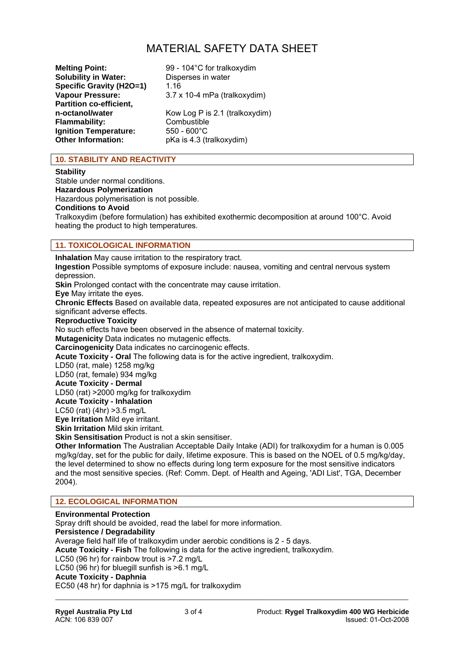# MATERIAL SAFETY DATA SHEET

**Melting Point:** 99 - 104°C for tralkoxydim **Solubility in Water:** Disperses in water<br>**Specific Gravity (H2O=1)** 1.16 **Specific Gravity (H2O=1) Partition co-efficient, Flammability:** Combustible **Ignition Temperature:** 550 - 600°C **Other Information:** pKa is 4.3 (tralkoxydim)

**Vapour Pressure:** 3.7 x 10-4 mPa (tralkoxydim) Kow Log P is 2.1 (tralkoxydim)

# **10. STABILITY AND REACTIVITY**

### **Stability**

Stable under normal conditions. **Hazardous Polymerization**  Hazardous polymerisation is not possible. **Conditions to Avoid**  Tralkoxydim (before formulation) has exhibited exothermic decomposition at around 100°C. Avoid heating the product to high temperatures.

# **11. TOXICOLOGICAL INFORMATION**

**Inhalation** May cause irritation to the respiratory tract. **Ingestion** Possible symptoms of exposure include: nausea, vomiting and central nervous system depression. **Skin** Prolonged contact with the concentrate may cause irritation. **Eye** May irritate the eyes. **Chronic Effects** Based on available data, repeated exposures are not anticipated to cause additional significant adverse effects. **Reproductive Toxicity**  No such effects have been observed in the absence of maternal toxicity. **Mutagenicity** Data indicates no mutagenic effects. **Carcinogenicity** Data indicates no carcinogenic effects. **Acute Toxicity - Oral** The following data is for the active ingredient, tralkoxydim. LD50 (rat, male) 1258 mg/kg LD50 (rat, female) 934 mg/kg **Acute Toxicity - Dermal**  LD50 (rat) >2000 mg/kg for tralkoxydim **Acute Toxicity - Inhalation**  LC50 (rat) (4hr) >3.5 mg/L **Eye Irritation** Mild eye irritant. **Skin Irritation** Mild skin irritant. **Skin Sensitisation** Product is not a skin sensitiser. **Other Information** The Australian Acceptable Daily Intake (ADI) for tralkoxydim for a human is 0.005 mg/kg/day, set for the public for daily, lifetime exposure. This is based on the NOEL of 0.5 mg/kg/day, the level determined to show no effects during long term exposure for the most sensitive indicators and the most sensitive species. (Ref: Comm. Dept. of Health and Ageing, 'ADI List', TGA, December 2004).

# **12. ECOLOGICAL INFORMATION**

**Environmental Protection**  Spray drift should be avoided, read the label for more information. **Persistence / Degradability**  Average field half life of tralkoxydim under aerobic conditions is 2 - 5 days. **Acute Toxicity - Fish** The following is data for the active ingredient, tralkoxydim. LC50 (96 hr) for rainbow trout is >7.2 mg/L LC50 (96 hr) for bluegill sunfish is >6.1 mg/L **Acute Toxicity - Daphnia**  EC50 (48 hr) for daphnia is >175 mg/L for tralkoxydim

 $\mathcal{L}_\mathcal{L} = \{ \mathcal{L}_\mathcal{L} = \{ \mathcal{L}_\mathcal{L} = \{ \mathcal{L}_\mathcal{L} = \{ \mathcal{L}_\mathcal{L} = \{ \mathcal{L}_\mathcal{L} = \{ \mathcal{L}_\mathcal{L} = \{ \mathcal{L}_\mathcal{L} = \{ \mathcal{L}_\mathcal{L} = \{ \mathcal{L}_\mathcal{L} = \{ \mathcal{L}_\mathcal{L} = \{ \mathcal{L}_\mathcal{L} = \{ \mathcal{L}_\mathcal{L} = \{ \mathcal{L}_\mathcal{L} = \{ \mathcal{L}_\mathcal{$